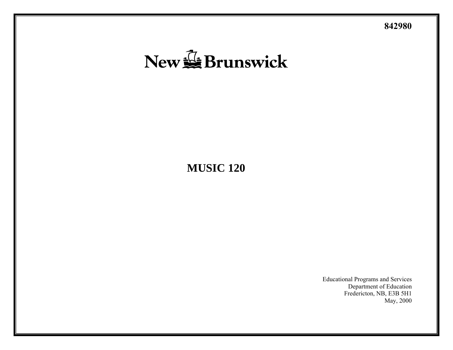**842980** 

# New SE Brunswick

# **MUSIC 120**

Educational Programs and Services Department of Education Fredericton, NB, E3B 5H1 May, 2000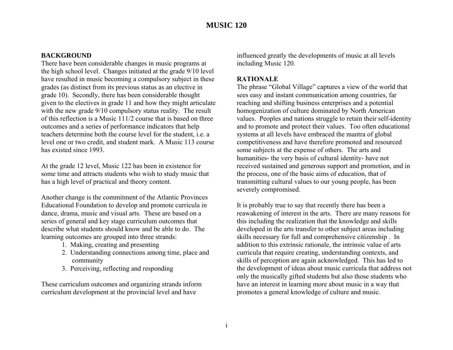### **BACKGROUND**

There have been considerable changes in music programs at the high school level. Changes initiated at the grade 9/10 level have resulted in music becoming a compulsory subject in these grades (as distinct from its previous status as an elective in grade 10). Secondly, there has been considerable thought given to the electives in grade 11 and how they might articulate with the new grade 9/10 compulsory status reality. The result of this reflection is a Music 111/2 course that is based on three outcomes and a series of performance indicators that help teachers determine both the course level for the student, i.e. a level one or two credit, and student mark. A Music 113 course has existed since 1993.

At the grade 12 level, Music 122 has been in existence for some time and attracts students who wish to study music that has a high level of practical and theory content.

Another change is the commitment of the Atlantic Provinces Educational Foundation to develop and promote curricula in dance, drama, music and visual arts. These are based on a series of general and key stage curriculum outcomes that describe what students should know and be able to do. The learning outcomes are grouped into three strands:

- 1. Making, creating and presenting
- 2. Understanding connections among time, place and community
- 3. Perceiving, reflecting and responding

These curriculum outcomes and organizing strands inform curriculum development at the provincial level and have

influenced greatly the developments of music at all levels including Music 120.

### **RATIONALE**

The phrase "Global Village" captures a view of the world that sees easy and instant communication among countries, far reaching and shifting business enterprises and a potential homogenization of culture dominated by North American values. Peoples and nations struggle to retain their self-identity and to promote and protect their values. Too often educational systems at all levels have embraced the mantra of global competitiveness and have therefore promoted and resourced some subjects at the expense of others. The arts and humanities- the very basis of cultural identity- have not received sustained and generous support and promotion, and in the process, one of the basic aims of education, that of transmitting cultural values to our young people, has been severely compromised.

It is probably true to say that recently there has been a reawakening of interest in the arts. There are many reasons for this including the realization that the knowledge and skills developed in the arts transfer to other subject areas including skills necessary for full and comprehensive citizenship . In addition to this extrinsic rationale, the intrinsic value of arts curricula that require creating, understanding contexts, and skills of perception are again acknowledged. This has led to the development of ideas about music curricula that address not only the musically gifted students but also those students who have an interest in learning more about music in a way that promotes a general knowledge of culture and music.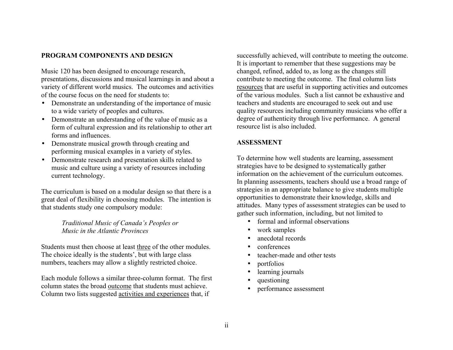# **PROGRAM COMPONENTS AND DESIGN**

Music 120 has been designed to encourage research, presentations, discussions and musical learnings in and about a variety of different world musics. The outcomes and activities of the course focus on the need for students to:

- Demonstrate an understanding of the importance of music to a wide variety of peoples and cultures.
- Demonstrate an understanding of the value of music as a form of cultural expression and its relationship to other art forms and influences.
- Demonstrate musical growth through creating and performing musical examples in a variety of styles.
- Demonstrate research and presentation skills related to music and culture using a variety of resources including current technology.

The curriculum is based on a modular design so that there is a great deal of flexibility in choosing modules. The intention is that students study one compulsory module:

> *Traditional Music of Canada's Peoples or Music in the Atlantic Provinces*

Students must then choose at least three of the other modules. The choice ideally is the students', but with large class numbers, teachers may allow a slightly restricted choice.

Each module follows a similar three-column format. The first column states the broad outcome that students must achieve. Column two lists suggested activities and experiences that, if

successfully achieved, will contribute to meeting the outcome. It is important to remember that these suggestions may be changed, refined, added to, as long as the changes still contribute to meeting the outcome. The final column lists resources that are useful in supporting activities and outcomes of the various modules. Such a list cannot be exhaustive and teachers and students are encouraged to seek out and use quality resources including community musicians who offer a degree of authenticity through live performance. A general resource list is also included.

# **ASSESSMENT**

To determine how well students are learning, assessment strategies have to be designed to systematically gather information on the achievement of the curriculum outcomes. In planning assessments, teachers should use a broad range of strategies in an appropriate balance to give students multiple opportunities to demonstrate their knowledge, skills and attitudes. Many types of assessment strategies can be used to gather such information, including, but not limited to

- formal and informal observations
- work samples
- anecdotal records
- conferences
- •teacher-made and other tests
- portfolios
- learning journals
- questioning
- performance assessment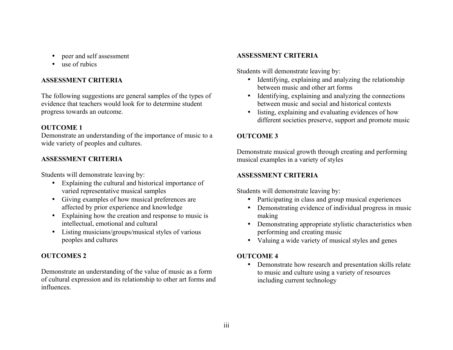- $\bullet$
- $\bullet$ use of rubics

# **ASSESSMENT CRITERIA**

The following suggestions are general samples of the types of evidence that teachers would look for to determine student progress towards an outcome. • listing, explaining and evaluating evidences of how

# **OUTCOME 1**

Demonstrate an understanding of the importance of music to a wide variety of peoples and cultures.

Students will demonstrate leaving by: **ASSESSMENT CRITERIA** 

- Explaining the cultural and historical importance of varied representative musical samples Students will demonstrate leaving by:
- Giving examples of how musical preferences are
- Explaining how the creation and response to music is making
- Listing musicians/groups/musical styles of various performing and creating music

# **OUTCOMES 2** OUTCOME 4

Demonstrate an understanding of the value of music as a form of cultural expression and its relationship to other art forms and influences.

# peer and self assessment **ASSESSMENT CRITERIA**

Students will demonstrate leaving by:

- Identifying, explaining and analyzing the relationship between music and other art forms
- Identifying, explaining and analyzing the connections between music and social and historical contexts
- different societies preserve, support and promote music

# **OUTCOME 3**

Demonstrate musical growth through creating and performing **ASSESSMENT CRITERIA** musical examples in a variety of styles

- Participating in class and group musical experiences
- affected by prior experience and knowledge **•** Demonstrating evidence of individual progress in music
- intellectual, emotional and cultural Demonstrating appropriate stylistic characteristics when
- peoples and cultures Valuing a wide variety of musical styles and genes

• Demonstrate how research and presentation skills relate to music and culture using a variety of resources including current technology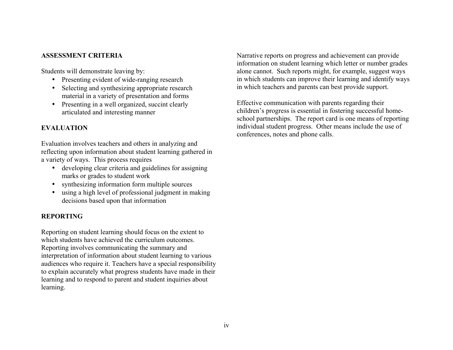Students will demonstrate leaving by:

- Presenting evident of wide-ranging research
- Selecting and synthesizing appropriate research material in a variety of presentation and forms
- Presenting in a well organized, succint clearly articulated and interesting manner

# **EVALUATION**

Evaluation involves teachers and others in analyzing and reflecting upon information about student learning gathered in a variety of ways. This process requires

- developing clear criteria and guidelines for assigning marks or grades to student work
- synthesizing information form multiple sources
- using a high level of professional judgment in making decisions based upon that information

# **REPORTING**

Reporting on student learning should focus on the extent to which students have achieved the curriculum outcomes. Reporting involves communicating the summary and interpretation of information about student learning to various audiences who require it. Teachers have a special responsibility to explain accurately what progress students have made in their learning and to respond to parent and student inquiries about learning.

**ASSESSMENT CRITERIA** Narrative reports on progress and achievement can provide information on student learning which letter or number grades alone cannot. Such reports might, for example, suggest ways in which students can improve their learning and identify ways in which teachers and parents can best provide support.

> Effective communication with parents regarding their children's progress is essential in fostering successful homeschool partnerships. The report card is one means of reporting individual student progress. Other means include the use of conferences, notes and phone calls.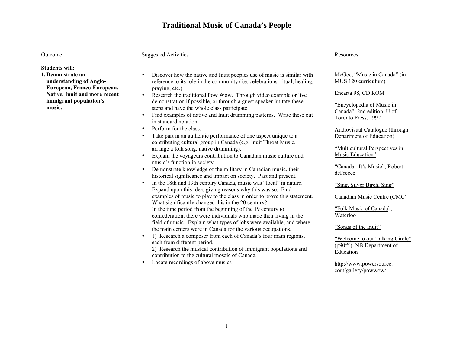# **Traditional Music of Canada's People**

### **Students will:**

**1. Demonstrate an understanding of Anglo-European, Franco-European, Native, Inuit and more recent immigrant population's music.** 

### Outcome Suggested Activities Resources Resources

- Discover how the native and Inuit peoples use of music is similar with reference to its role in the community (i.e. celebrations, ritual, healing, praying, etc.)<br>
• Research the traditional Pow Wow. Through video example or live Encarta 98, CD ROM
- demonstration if possible, or through a guest speaker imitate these steps and have the whole class participate.<br>
Steps and have the whole class participate.<br>
The canada<sup>"</sup>, 2nd edition, U of
- Find examples of native and Inuit drumming patterns. Write these out  $\frac{\text{Cational}}{\text{ Toronto Press}}$ , 1992 in standard notation.
- 
- Take part in an authentic performance of one aspect unique to a Department of Education) contributing cultural group in Canada (e.g. Inuit Throat Music, arrange a folk song, native drumming).<br>
Explain the voyageurs contribution to Canadian music culture and Music Education"
- $\bullet$  Explain the voyageurs contribution to Canadian music culture and music's function in society.<br>
• Demonstrate knowledge of the military in Canadian music, their<br>  $\frac{Canada: It's Music'}$ , Robert
- deFreece Demonstrate knowledge of the military in Canadian music, their historical significance and impact on society. Past and present.
- In the 18th and 19th century Canada, music was "local" in nature. Expand upon this idea, giving reasons why this was so. Find examples of music to play to the class in order to prove this statement. What significantly changed this in the 20 century? In the time period from the beginning of the 19 century to confederation, there were individuals who made their living in the field of music. Explain what types of jobs were available, and where the main centers were in Canada for the various occupations. "Songs of the Inuit"
- 1) Research a composer from each of Canada's four main regions, each from different period. 2) Research the musical contribution of immigrant populations and  $\frac{(\text{p}^{(1)}, \text{p}^{(2)}, \text{p}^{(3)})}{\text{Education}}$

mosaic of Canada.

• Locate recordings of above musics http://www.powersource.

McGee, "Music in Canada" (in MUS 120 curriculum)

• Perform for the class. Audiovisual Catalogue (through

"Sing, Silver Birch, Sing"

Canadian Music Centre (CMC)

"Folk Music of Canada", Waterloo

"Welcome to our Talking Circle" (p90ff.), NB Department of

com/gallery/powwow/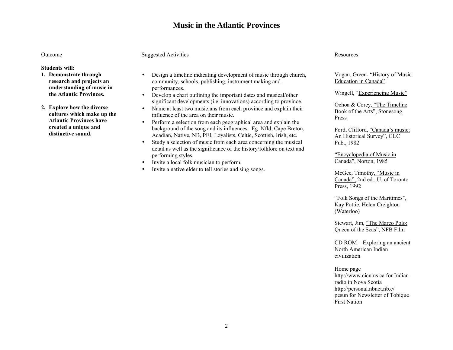# **Music in the Atlantic Provinces**

### **Students will:**

- **1. Demonstrate through research and projects an understanding of music in the Atlantic Provinces.**
- **2. Explore how the diverse cultures which make up the Atlantic Provinces havecreated a unique and distinctive sound.**

### Outcome Suggested Activities Resources Resources

- Design a timeline indicating development of music through church, community, schools, publishing, instrument making and performances.<br>
• Develop a chart outlining the important dates and musical/other Wingell, "Experiencing Music"
- significant developments (i.e. innovations) according to province. Ochoa & Corey, "The Timeline
- Name at least two musicians from each province and explain their influence of the area on their music.
- Perform a selection from each geographical area and explain the background of the song and its influences. Eg Nfld, Cape Breton, Acadian, Native, NB, PEI, Loyalists, Celtic, Scottish, Irish, etc.
- Study a selection of music from each area concerning the musical Pub., 1982 detail as well as the significance of the history/folklore on text and performing styles. The contract of the contract of the contract of the contract of Music in the contract of Music in
- Invite a local folk musician to perform.
- Invite a native elder to tell stories and sing songs.

Vogan, Green- "History of Music Education in Canada"

Book of the Arts", Stonesong Press

Ford, Clifford, "Canada's music: An Historical Survey", GLC

Canada", Norton, 1985

McGee, Timothy, "Music in Canada", 2nd ed., U. of Toronto Press, 1992

"Folk Songs of the Maritimes", Kay Pottie, Helen Creighton (Waterloo)

Stewart, Jim, "The Marco Polo: Queen of the Seas", NFB Film

CD ROM – Exploring an ancient North American Indian civilization

### Home page http://www.cicu.ns.ca for Indian radio in Nova Scotiahttp://personal.nbnet.nb.c/ pesun for Newsletter of Tobique First Nation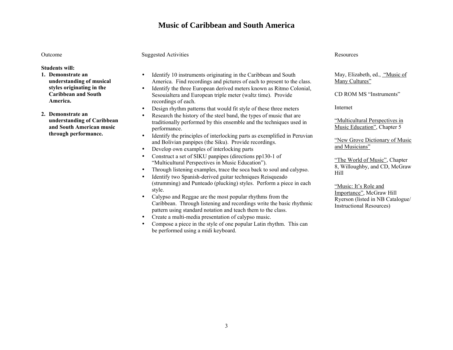# **Music of Caribbean and South America**

## **Students will:**

**1. Demonstrate an understanding of musical styles originating in the Caribbean and South America.** 

**2. Demonstrate an understanding of Caribbean and South American music through performance.**

### Outcome Suggested Activities Resources Resources

- Identify 10 instruments originating in the Caribbean and South America. Find recordings and pictures of each to present to the class.
- Identify the three European derived meters known as Ritmo Colonial, Sesouialtera and European triple meter (waltz time). Provide recordings of each.
- Design rhythm patterns that would fit style of these three meters Internet
- Research the history of the steel band, the types of music that are traditionally performed by this ensemble and the techniques used in performance.
- Identify the principles of interlocking parts as exemplified in Peruvian and Bolivian papipes (the Siku). Provide recordings.<br>
and Bolivian papipes (the Siku). Provide recordings.<br>
The Sixual Sixual Sixual Sixual Sixual Sixual Sixual Sixual Sixual Sixual Sixual Sixual Sixual Sixual Sixual Sixua
- Develop own examples of interlocking parts
- Construct a set of SIKU panpipes (directions pp130-1 of "The World of Music", Chapter<br>"Multicultural Perspectives in Music Education"). "The World of Music", Chapter 8, Willoughby, and CD, McGraw
- Through listening examples, trace the soca back to soul and calypso.  $\frac{8}{11}$ <br>• Identify two Spanish-derived guitar techniques Reisqueado
- Identify two Spanish-derived guitar techniques Reisqueado (strumming) and Punteado (plucking) styles. Perform a piece in each style. The and Tuneau Conditional Styles. The form a piece in each style. The Style and Style.<br>Importance", McGraw Hill
- Calypso and Reggae are the most popular rhythms from the Caribbean. Through listening and recordings write the basic rhythmic pattern using standard notation and teach them to the class.
- Create a multi-media presentation of calypso music.
- Compose a piece in the style of one popular Latin rhythm. This can be performed using a midi keyboard.

### May, Elizabeth, ed., "Music of Many Cultures"

CD ROM MS "Instruments"

"Multicultural Perspectives in Music Education", Chapter 5

Ryerson (listed in NB Catalogue/ Instructional Resources)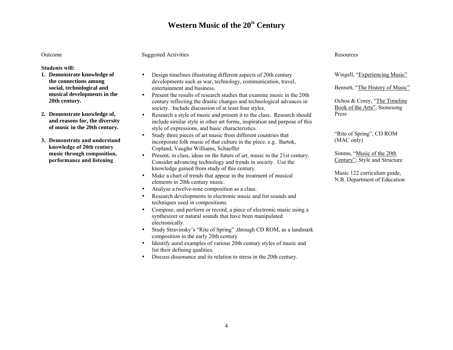# **Western Music of the 20th Century**

### Outcome

### **Students will:**

- **1. Demonstrate knowledge of the connections among social, technological and musical developments in the 20th century.**
- **2. Demonstrate knowledge of, and reasons for, the diversity of music in the 20th century.**
- **3. Demonstrate and understand knowledge of 20th century music through composition, performance and listening**

### Suggested Activities

- Design timelines illustrating different aspects of 20th century developments such as war, technology, communication, travel, entertainment and business.
- Present the results of research studies that examine music in the 20th century reflecting the drastic changes and technological advances in society. Include discussion of at least four styles.
- Research a style of music and present it to the class. Research should include similar style in other art forms, inspiration and purpose of this style of expressions, and basic characteristics.
- Study three pieces of art music from different countries that incorporate folk music of that culture in the piece. e.g. Bartok, Copland, Vaughn Williams, Schaeffer
- Present, in class, ideas on the future of art, music in the 21st century. Consider advancing technology and trends in society. Use the knowledge gained from study of this century.
- Make a chart of trends that appear in the treatment of musical elements in 20th century music.
- Analyse a twelve-tone composition as a class.
- Research developments in electronic music and list sounds and techniques used in compositions.
- Compose, and perform or record, a piece of electronic music using a synthesizer or natural sounds that have been manipulated electronically.
- Study Stravinsky's "Rite of Spring" , through CD ROM, as a landmark composition in the early 20th century
- Identify aural examples of various 20th century styles of music and list their defining qualities.
- Discuss dissonance and its relation to stress in the 20th century.

### Resources

Wingell, "Experiencing Music"

Bennett, "The History of Music"

Ochoa & Corey, "The Timeline Book of the Arts", Stonesong Press

"Rite of Spring", CD ROM (MAC only)

Simms, "Music of the 20th Century"; Style and Structure

Music 122 curriculum guide, N.B. Department of Education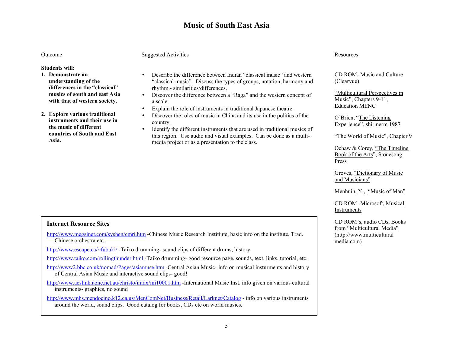# **Music of South East Asia**

### Outcome

**Students will:** 

- **1. Demonstrate an understanding of the differences in the "classical" musics of south and east Asia with that of western society.**
- **2. Explore various traditional instruments and their use in the music of different countries of South and East Asia.**

### Suggested Activities

- Describe the difference between Indian "classical music" and western "classical music". Discuss the types of groups, notation, harmony and rhythm.- similarities/differences.
- Discover the difference between a "Raga" and the western concept of a scale.
- Explain the role of instruments in traditional Japanese theatre.
- Discover the roles of music in China and its use in the politics of the country.
- Identify the different instruments that are used in traditional musics of this region. Use audio and visual examples. Can be done as a multimedia project or as a presentation to the class.

### Resources

CD ROM- Music and Culture (Clearvue)

"Multicultural Perspectives in Music", Chapters 9-11, Education MENC

O'Brien, "The Listening Experience", shirmerm 1987

"The World of Music", Chapter 9

Ochaw & Corey, "The Timeline Book of the Arts", Stonesong Press

Groves, "Dictionary of Music and Musicians"

Menhuin, Y., "Music of Man"

CD ROM- Microsoft, Musical Instruments

CD ROM's, audio CDs, Books from "Multicultural Media" (http://www.multicultural media.com)

### **Internet Resource Sites**

<http://www.megsinet.com/syshen/cmri.htm>-Chinese Music Research Institiute, basic info on the institute, Trad. Chinese orchestra etc.

<http://www.escape.ca/~fubuki/>-Taiko drumming- sound clips of different drums, history

<http://www.taiko.com/rollingthunder.html> -Taiko drumming- good resource page, sounds, text, links, tutorial, etc.

<http://www2.bbc.co.uk/nomad/Pages/asiamuse.htm> -Central Asian Music- info on musical insturments and history of Central Asian Music and interactive sound clips- good!

<http://www.acslink.aone.net.au/christo/inidx/ini10001.htm>-International Music Inst. info given on various cultural instruments- graphics, no sound

<http://www.mhs.mendocino.k12.ca.us/MenComNet/Business/Retail/Larknet/Catalog>- info on various instruments around the world, sound clips. Good catalog for books, CDs etc on world musics.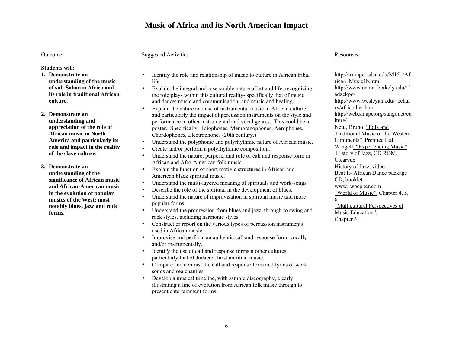# **Music of Africa and its North American Impact**

### Outcome

### Suggested Activities

**Students will:** 

- **1. Demonstrate an understanding of the music of sub-Saharan Africa andits role in traditional African culture.**
- **2. Demonstrate an understanding and appreciation of the role of African music in NorthAmerica and particularly its role and impact in the reality of the slave culture.**
- **3. Demonstrate an understanding of the significance of African music and African-American music in the evolution of popular musics of the West; most notably blues, jazz and rock forms.**
- Identify the role and relationship of music to culture in African tribal life.
- Explain the integral and inseparable nature of art and life, recognizing the role plays within this cultural reality- specifically that of music and dance; music and communication; and music and healing.
- Explain the nature and use of instrumental music in African culture, and particularly the impact of percussion instruments on the style and performance in other instrumental and vocal genres. This could be a poster. Specifically: Idiophones, Membranophones, Aerophones, Chordophones, Electrophones (20th century.)
- Understand the polyphonic and polyrhythmic nature of African music.
- Create and/or perform a polyrhythmic composition.
- Understand the nature, purpose, and role of call and response form in African and Afro-American folk music.
- Explain the function of short motivic structures in African and American black spiritual music.
- Understand the multi-layered meaning of spirituals and work-songs.
- Describe the role of the spiritual in the development of blues.
- Understand the nature of improvisation in spiritual music and more popular forms.
- Understand the progression from blues and jazz, through to swing and rock styles, including harmonic styles.
- Construct or report on the various types of percussion instruments used in African music.
- Improvise and perform an authentic call and response form, vocally and/or instrumentally.
- Identify the use of call and response forms n other cultures, particularly that of Judaeo/Christian ritual music.
- Compare and contrast the call and response form and lyrics of work songs and sea chanties.
- Develop a musical timeline, with sample discography, clearly illustrating a line of evolution from African folk music through to present entertainment forms.

### Resources

http://trumpet.sdsu.edu/M151/Af rican\_Music1b.html http://www.cnmat.berkely.edu/~l adzekpo/ http://www.wesleyan.edu/~echar ry/africother.html http://web.sn.apc.org/sangonet/cu lture/ Nettl, Bruno "Folk and Traditional Music of the Western Continents" Prentice Hall Wingell, "Experiencing Music" History of Jazz, CD ROM, Clearvue History of Jazz, video Beat It- African Dance package CD, booklet www.jwpepper.com "World of Music", Chapter 4, 5, 6 "Multicultural Perspectives of Music Education", Chapter 3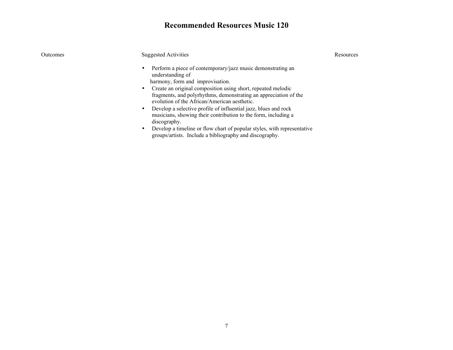# **Recommended Resources Music 120**

| <b>Outcomes</b> | <b>Suggested Activities</b>                                                                                                                                                                                                                                                                                                                                                                                                                                                                                                                                                                                     | Resources |
|-----------------|-----------------------------------------------------------------------------------------------------------------------------------------------------------------------------------------------------------------------------------------------------------------------------------------------------------------------------------------------------------------------------------------------------------------------------------------------------------------------------------------------------------------------------------------------------------------------------------------------------------------|-----------|
|                 | Perform a piece of contemporary/jazz music demonstrating an<br>understanding of<br>harmony, form and improvisation.<br>Create an original composition using short, repeated melodic<br>fragments, and polyrhythms, demonstrating an appreciation of the<br>evolution of the African/American aesthetic.<br>Develop a selective profile of influential jazz, blues and rock<br>musicians, showing their contribution to the form, including a<br>discography.<br>Develop a timeline or flow chart of popular styles, with representative<br>$\bullet$<br>groups/artists. Include a bibliography and discography. |           |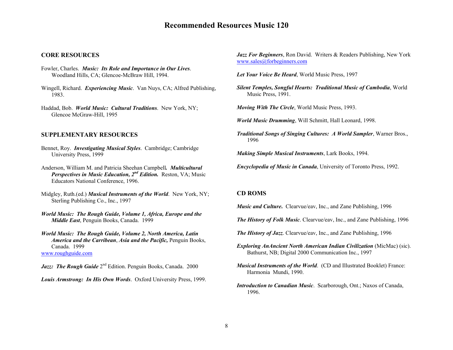# **Recommended Resources Music 120**

#### **CORE RESOURCES**

- Fowler, Charles. *Music: Its Role and Importance in Our Lives*. Woodland Hills, CA; Glencoe-McBraw Hill, 1994.
- Wingell, Richard. *Experiencing Music*. Van Nuys, CA; Alfred Publishing, 1983.
- Haddad, Bob. *World Music: Cultural Traditions*. New York, NY; Glencoe McGraw-Hill, 1995

#### **SUPPLEMENTARY RESOURCES**

- Bennet, Roy. *Investigating Musical Styles*. Cambridge; Cambridge University Press, 1999
- Anderson, William M. and Patricia Sheehan Campbell*. Multicultural Perspectives in Music Education, 2nd Edition.* Reston, VA; Music Educators National Conference, 1996.
- Midgley, Ruth.(ed.) *Musical Instruments of the World*. New York, NY; Sterling Publishing Co., Inc., 1997
- *World Music: The Rough Guide, Volume 1, Africa, Europe and the Middle East*, Penguin Books, Canada. 1999
- *World Music: The Rough Guide, Volume 2, North America, Latin America and the Carribean*, *Asia and the Pacific,* Penguin Books, Canada. 1999 www.roughguide.com
- Jazz: The Rough Guide 2<sup>nd</sup> Edition. Penguin Books, Canada. 2000
- *Louis Armstrong: In His Own Words*. Oxford University Press, 1999.

*Jazz For Beginners*, Ron David. Writers & Readers Publishing, New York www.sales@forbeginners.com

*Let Your Voice Be Heard*, World Music Press, 1997

*Silent Temples, Songful Hearts: Traditional Music of Cambodia*, World Music Press, 1991.

*Moving With The Circle*, World Music Press, 1993.

*World Music Drumming*, Will Schmitt, Hall Leonard, 1998.

*Traditional Songs of Singing Cultures: A World Sampler*, Warner Bros., 1996

*Making Simple Musical Instruments*, Lark Books, 1994.

*Encyclopedia of Music in Canada*, University of Toronto Press, 1992.

#### **CD ROMS**

*Music and Culture.* Clearvue/eav, Inc., and Zane Publishing, 1996

- *The History of Folk Music*. Clearvue/eav, Inc., and Zane Publishing, 1996
- *The History of Jazz*. Clearvue/eav, Inc., and Zane Publishing, 1996
- *Exploring AnAncient North American Indian Civilization* (MicMac) (sic). Bathurst, NB; Digital 2000 Communication Inc., 1997
- *Musical Instruments of the World*. (CD and Illustrated Booklet) France: Harmonia Mundi, 1990.
- *Introduction to Canadian Music*. Scarborough, Ont.; Naxos of Canada, 1996.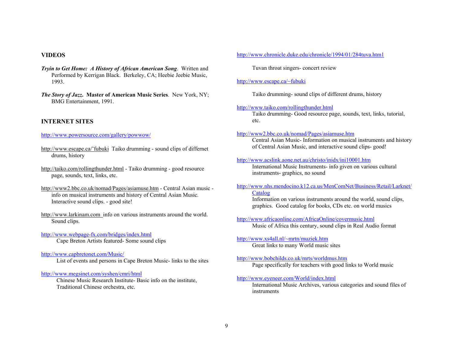- *Tryin to Get Home: A History of African American Song*. Written and Tuvan throat singers- concert review Performed by Kerrigan Black. Berkeley, CA; Heebie Jeebie Music, 1993. <http://www.escape.ca/~fubuki>
- *The Story of Jazz***. Master of American Music Series**. New York, NY; Taiko drumming- sound clips of different drums, history BMG Entertainment, 1991.

### **INTERNET SITES** etc.

- drums, history <http://www.acslink.aone.net.au/christo/inidx/ini10001.htm>
- http://taiko.com/rollingthunder.html Taiko drumming good resource page, sounds, text, links, etc.
- http://www2.bbc.co.uk/nomad/Pages/asiamuse.htm Central Asian music info on musical instruments and history of Central Asian Music. Information on various instruments around the world, sound clips, Information on various instruments around the world, sound clips,
- http://www.larkinam.com info on various instruments around the world.

#### <http://www.webpage-fx.com/bridges/index.html> Cape Breton Artists featured- Some sound clips <http://www.xs4all.nl/~mrtn/muziek.htm>

#### <http://www.capbretonet.com/Music/>

List of events and persons in Cape Breton Music- links to the sites <http://www.bobchilds.co.uk/mrts/worldmus.htm> Page specifically for teachers with good links to World music

<http://www.megsinet.com/syshen/cmri/html> <http://www.eyeneer.com/World/index.html> Chinese Music Research Institute- Basic info on the institute, http://www.eyeneer.com/World/index.html

#### **VIDEOS <http://www.chronicle.duke.edu/chronicle/1994/01/284tuva.htm1>**

#### <http://www.taiko.com/rollingthunder.html>

Taiko drumming- Good resource page, sounds, text, links, tutorial,

### <http://www.powersource.com/gallery/powwow/> <http://www2.bbc.co.uk/nomad/Pages/asiamuse.htm>

Central Asian Music- Information on musical instruments and history http://www.escape.ca/~fubuki Taiko drumming - sound clips of differnet of Central Asian Music, and interactive sound clips- good!

International Music Instruments- info given on various cultural instruments- graphics, no sound

### [http://www.nhs.mendocino.k12.ca.us/MenComNet/Business/Retail/Larknet/](http://www.nhs.mendocino.k12.ca.us/MenComNet/Business/Retail/Larknet/Catalog) [Catalog](http://www.nhs.mendocino.k12.ca.us/MenComNet/Business/Retail/Larknet/Catalog)

graphics. Good catalog for books, CDs etc. on world musics

Sound clips.<br>Sound clips.<br>Music of Africa this century, sound clips in Real Audio format

Great links to many World music sites

Traditional Chinese orchestra, etc. International Music Archives, various categories and sound files of instruments